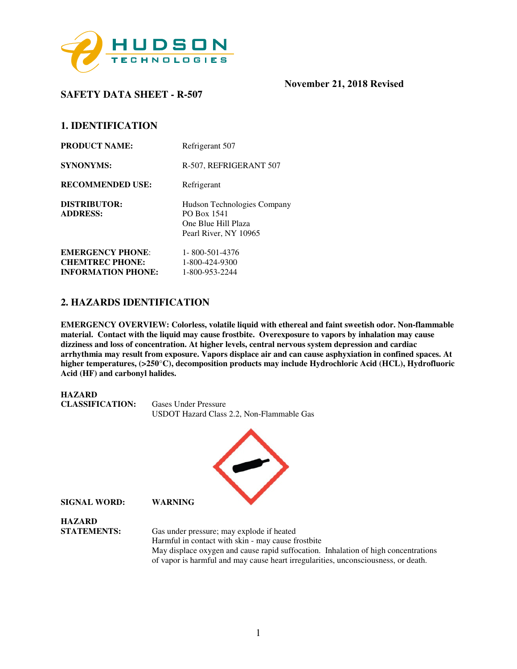

**SAFETY DATA SHEET - R-507** 

# **1. IDENTIFICATION**

| <b>PRODUCT NAME:</b>            | Refrigerant 507                                                                            |
|---------------------------------|--------------------------------------------------------------------------------------------|
| <b>SYNONYMS:</b>                | R-507, REFRIGERANT 507                                                                     |
| <b>RECOMMENDED USE:</b>         | Refrigerant                                                                                |
| DISTRIBUTOR:<br><b>ADDRESS:</b> | Hudson Technologies Company<br>PO Box 1541<br>One Blue Hill Plaza<br>Pearl River, NY 10965 |
| <b>EMERGENCY PHONE:</b>         | 1-800-501-4376                                                                             |
| <b>CHEMTREC PHONE:</b>          | 1-800-424-9300                                                                             |
| <b>INFORMATION PHONE:</b>       | 1-800-953-2244                                                                             |

## **2. HAZARDS IDENTIFICATION**

**EMERGENCY OVERVIEW: Colorless, volatile liquid with ethereal and faint sweetish odor. Non-flammable material. Contact with the liquid may cause frostbite. Overexposure to vapors by inhalation may cause dizziness and loss of concentration. At higher levels, central nervous system depression and cardiac arrhythmia may result from exposure. Vapors displace air and can cause asphyxiation in confined spaces. At higher temperatures, (>250**°**C), decomposition products may include Hydrochloric Acid (HCL), Hydrofluoric Acid (HF) and carbonyl halides.** 



of vapor is harmful and may cause heart irregularities, unconsciousness, or death.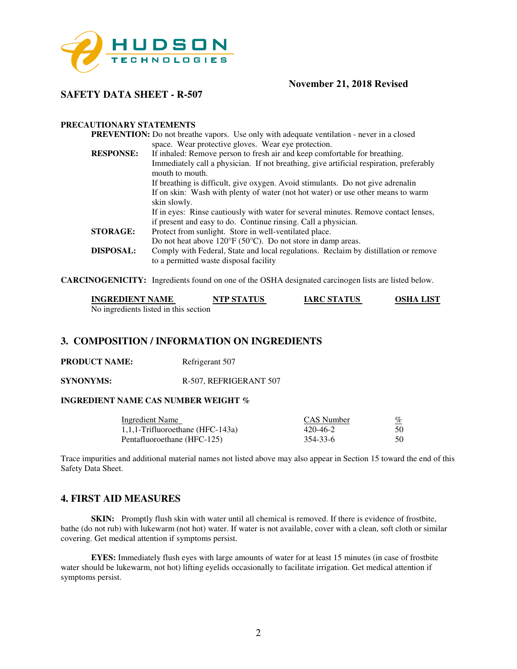

# **SAFETY DATA SHEET - R-507**

#### **PRECAUTIONARY STATEMENTS**

|                  | <b>PREVENTION:</b> Do not breathe vapors. Use only with adequate ventilation - never in a closed                              |
|------------------|-------------------------------------------------------------------------------------------------------------------------------|
|                  | space. Wear protective gloves. Wear eye protection.                                                                           |
| <b>RESPONSE:</b> | If inhaled: Remove person to fresh air and keep comfortable for breathing.                                                    |
|                  | Immediately call a physician. If not breathing, give artificial respiration, preferably<br>mouth to mouth.                    |
|                  | If breathing is difficult, give oxygen. Avoid stimulants. Do not give adrenalin                                               |
|                  | If on skin: Wash with plenty of water (not hot water) or use other means to warm                                              |
|                  | skin slowly.                                                                                                                  |
|                  | If in eyes: Rinse cautiously with water for several minutes. Remove contact lenses,                                           |
|                  | if present and easy to do. Continue rinsing. Call a physician.                                                                |
| <b>STORAGE:</b>  | Protect from sunlight. Store in well-ventilated place.                                                                        |
|                  | Do not heat above $120^{\circ}F(50^{\circ}C)$ . Do not store in damp areas.                                                   |
| <b>DISPOSAL:</b> | Comply with Federal, State and local regulations. Reclaim by distillation or remove<br>to a permitted waste disposal facility |
|                  |                                                                                                                               |

**CARCINOGENICITY:** Ingredients found on one of the OSHA designated carcinogen lists are listed below.

| <b>INGREDIENT NAME</b>                | <b>NTP STATUS</b> | <b>IARC STATUS</b> | <b>OSHA LIST</b> |
|---------------------------------------|-------------------|--------------------|------------------|
| No ingredients listed in this section |                   |                    |                  |

## **3. COMPOSITION / INFORMATION ON INGREDIENTS**

**PRODUCT NAME:** Refrigerant 507

**SYNONYMS:** R-507, REFRIGERANT 507

### **INGREDIENT NAME CAS NUMBER WEIGHT %**

| Ingredient Name                     | CAS Number | %  |
|-------------------------------------|------------|----|
| $1,1,1$ -Trifluoroethane (HFC-143a) | 420-46-2   | 50 |
| Pentafluoroethane (HFC-125)         | 354-33-6   | 50 |

Trace impurities and additional material names not listed above may also appear in Section 15 toward the end of this Safety Data Sheet.

## **4. FIRST AID MEASURES**

**SKIN:** Promptly flush skin with water until all chemical is removed. If there is evidence of frostbite, bathe (do not rub) with lukewarm (not hot) water. If water is not available, cover with a clean, soft cloth or similar covering. Get medical attention if symptoms persist.

**EYES:** Immediately flush eyes with large amounts of water for at least 15 minutes (in case of frostbite water should be lukewarm, not hot) lifting eyelids occasionally to facilitate irrigation. Get medical attention if symptoms persist.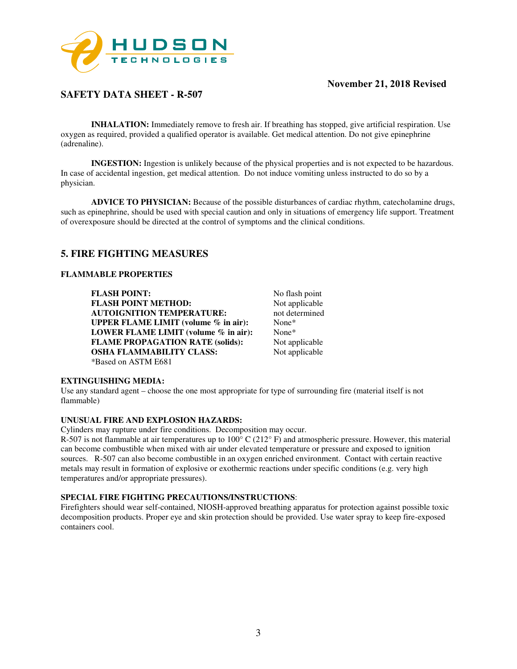

# **SAFETY DATA SHEET - R-507**

**INHALATION:** Immediately remove to fresh air. If breathing has stopped, give artificial respiration. Use oxygen as required, provided a qualified operator is available. Get medical attention. Do not give epinephrine (adrenaline).

**INGESTION:** Ingestion is unlikely because of the physical properties and is not expected to be hazardous. In case of accidental ingestion, get medical attention. Do not induce vomiting unless instructed to do so by a physician.

**ADVICE TO PHYSICIAN:** Because of the possible disturbances of cardiac rhythm, catecholamine drugs, such as epinephrine, should be used with special caution and only in situations of emergency life support. Treatment of overexposure should be directed at the control of symptoms and the clinical conditions.

# **5. FIRE FIGHTING MEASURES**

#### **FLAMMABLE PROPERTIES**

**FLASH POINT:** No flash point<br> **FLASH POINT METHOD:** Not applicable **FLASH POINT METHOD: AUTOIGNITION TEMPERATURE:** not determined **UPPER FLAME LIMIT (volume % in air):** None\* **LOWER FLAME LIMIT (volume % in air):** None\* **FLAME PROPAGATION RATE (solids):** Not applicable **OSHA FLAMMABILITY CLASS:** Not applicable \*Based on ASTM E681

#### **EXTINGUISHING MEDIA:**

Use any standard agent – choose the one most appropriate for type of surrounding fire (material itself is not flammable)

#### **UNUSUAL FIRE AND EXPLOSION HAZARDS:**

Cylinders may rupture under fire conditions. Decomposition may occur.

R-507 is not flammable at air temperatures up to  $100^{\circ}$  C (212 $^{\circ}$  F) and atmospheric pressure. However, this material can become combustible when mixed with air under elevated temperature or pressure and exposed to ignition sources. R-507 can also become combustible in an oxygen enriched environment. Contact with certain reactive metals may result in formation of explosive or exothermic reactions under specific conditions (e.g. very high temperatures and/or appropriate pressures).

### **SPECIAL FIRE FIGHTING PRECAUTIONS/INSTRUCTIONS**:

Firefighters should wear self-contained, NIOSH-approved breathing apparatus for protection against possible toxic decomposition products. Proper eye and skin protection should be provided. Use water spray to keep fire-exposed containers cool.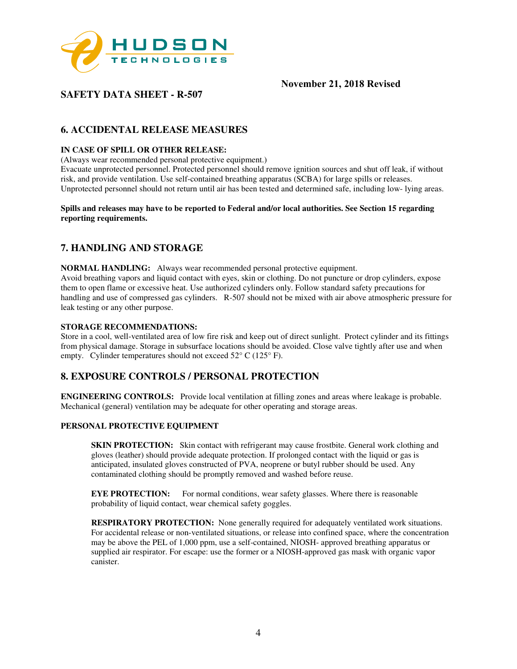

# **SAFETY DATA SHEET - R-507**

# **6. ACCIDENTAL RELEASE MEASURES**

#### **IN CASE OF SPILL OR OTHER RELEASE:**

(Always wear recommended personal protective equipment.)

Evacuate unprotected personnel. Protected personnel should remove ignition sources and shut off leak, if without risk, and provide ventilation. Use self-contained breathing apparatus (SCBA) for large spills or releases. Unprotected personnel should not return until air has been tested and determined safe, including low- lying areas.

#### **Spills and releases may have to be reported to Federal and/or local authorities. See Section 15 regarding reporting requirements.**

# **7. HANDLING AND STORAGE**

**NORMAL HANDLING:** Always wear recommended personal protective equipment. Avoid breathing vapors and liquid contact with eyes, skin or clothing. Do not puncture or drop cylinders, expose them to open flame or excessive heat. Use authorized cylinders only. Follow standard safety precautions for handling and use of compressed gas cylinders. R-507 should not be mixed with air above atmospheric pressure for leak testing or any other purpose.

#### **STORAGE RECOMMENDATIONS:**

Store in a cool, well-ventilated area of low fire risk and keep out of direct sunlight. Protect cylinder and its fittings from physical damage. Storage in subsurface locations should be avoided. Close valve tightly after use and when empty. Cylinder temperatures should not exceed 52° C (125° F).

# **8. EXPOSURE CONTROLS / PERSONAL PROTECTION**

**ENGINEERING CONTROLS:** Provide local ventilation at filling zones and areas where leakage is probable. Mechanical (general) ventilation may be adequate for other operating and storage areas.

#### **PERSONAL PROTECTIVE EQUIPMENT**

**SKIN PROTECTION:** Skin contact with refrigerant may cause frostbite. General work clothing and gloves (leather) should provide adequate protection. If prolonged contact with the liquid or gas is anticipated, insulated gloves constructed of PVA, neoprene or butyl rubber should be used. Any contaminated clothing should be promptly removed and washed before reuse.

**EYE PROTECTION:** For normal conditions, wear safety glasses. Where there is reasonable probability of liquid contact, wear chemical safety goggles.

**RESPIRATORY PROTECTION:** None generally required for adequately ventilated work situations. For accidental release or non-ventilated situations, or release into confined space, where the concentration may be above the PEL of 1,000 ppm, use a self-contained, NIOSH- approved breathing apparatus or supplied air respirator. For escape: use the former or a NIOSH-approved gas mask with organic vapor canister.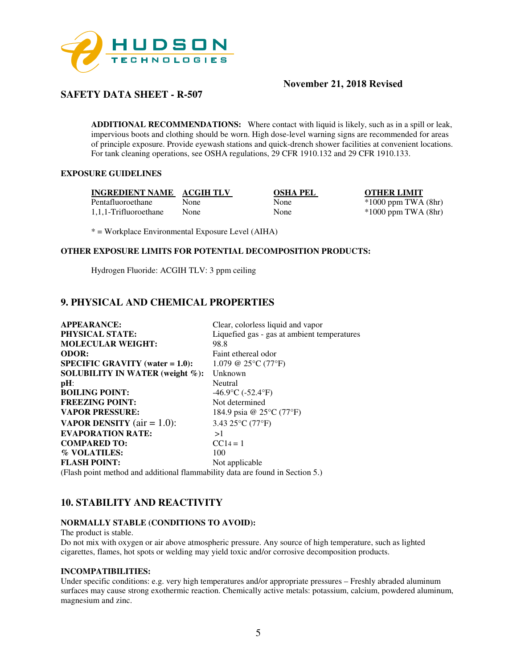

# **SAFETY DATA SHEET - R-507**

**ADDITIONAL RECOMMENDATIONS:** Where contact with liquid is likely, such as in a spill or leak, impervious boots and clothing should be worn. High dose-level warning signs are recommended for areas of principle exposure. Provide eyewash stations and quick-drench shower facilities at convenient locations. For tank cleaning operations, see OSHA regulations, 29 CFR 1910.132 and 29 CFR 1910.133.

## **EXPOSURE GUIDELINES**

**INGREDIENT NAME ACGIH TLV OSHA PEL OTHER LIMIT**<br>Pentafluoroethane None None \*1000 ppm TWA 1,1,1-Trifluoroethane None None \*1000 ppm TWA (8hr)

Pentation None \*1000 ppm TWA (8hr)

\* = Workplace Environmental Exposure Level (AIHA)

### **OTHER EXPOSURE LIMITS FOR POTENTIAL DECOMPOSITION PRODUCTS:**

Hydrogen Fluoride: ACGIH TLV: 3 ppm ceiling

# **9. PHYSICAL AND CHEMICAL PROPERTIES**

| <b>APPEARANCE:</b>                                                                  | Clear, colorless liquid and vapor                  |
|-------------------------------------------------------------------------------------|----------------------------------------------------|
| <b>PHYSICAL STATE:</b>                                                              | Liquefied gas - gas at ambient temperatures        |
| <b>MOLECULAR WEIGHT:</b>                                                            | 98.8                                               |
| <b>ODOR:</b>                                                                        | Faint ethereal odor                                |
| <b>SPECIFIC GRAVITY</b> (water $= 1.0$ ):                                           | 1.079 @ 25 $\rm{^{\circ}C}$ (77 $\rm{^{\circ}F}$ ) |
| SOLUBILITY IN WATER (weight $\%$ ):                                                 | Unknown                                            |
| $pH$ :                                                                              | Neutral                                            |
| <b>BOILING POINT:</b>                                                               | $-46.9$ °C ( $-52.4$ °F)                           |
| <b>FREEZING POINT:</b>                                                              | Not determined                                     |
| <b>VAPOR PRESSURE:</b>                                                              | 184.9 psia @ 25°C (77°F)                           |
| <b>VAPOR DENSITY</b> ( $air = 1.0$ ):                                               | 3.43 25°C (77°F)                                   |
| <b>EVAPORATION RATE:</b>                                                            | >1                                                 |
| <b>COMPARED TO:</b>                                                                 | $CC14 = 1$                                         |
| % VOLATILES:                                                                        | 100                                                |
| <b>FLASH POINT:</b>                                                                 | Not applicable                                     |
| $\Gamma$ (Electronical proportional probability of the continuation $\mathcal{L}$ ) |                                                    |

(Flash point method and additional flammability data are found in Section 5.)

# **10. STABILITY AND REACTIVITY**

#### **NORMALLY STABLE (CONDITIONS TO AVOID):**

The product is stable.

Do not mix with oxygen or air above atmospheric pressure. Any source of high temperature, such as lighted cigarettes, flames, hot spots or welding may yield toxic and/or corrosive decomposition products.

#### **INCOMPATIBILITIES:**

Under specific conditions: e.g. very high temperatures and/or appropriate pressures – Freshly abraded aluminum surfaces may cause strong exothermic reaction. Chemically active metals: potassium, calcium, powdered aluminum, magnesium and zinc.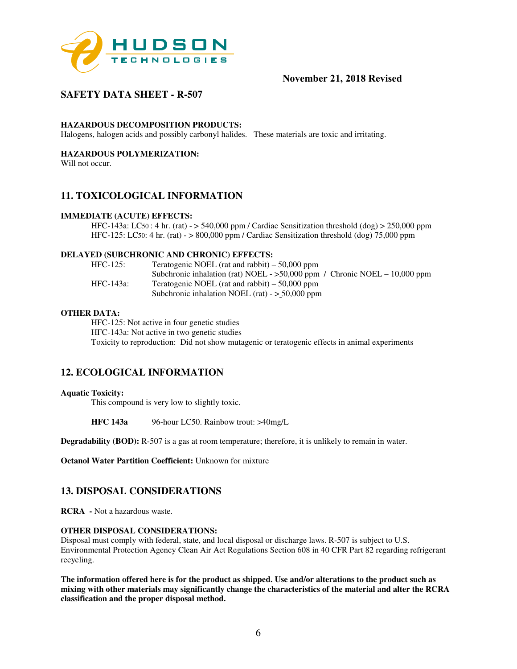

# **SAFETY DATA SHEET - R-507**

#### **HAZARDOUS DECOMPOSITION PRODUCTS:**

Halogens, halogen acids and possibly carbonyl halides. These materials are toxic and irritating.

## **HAZARDOUS POLYMERIZATION:**

Will not occur.

# **11. TOXICOLOGICAL INFORMATION**

#### **IMMEDIATE (ACUTE) EFFECTS:**

HFC-143a: LC50 : 4 hr. (rat) -  $>$  540,000 ppm / Cardiac Sensitization threshold (dog)  $>$  250,000 ppm HFC-125: LC50: 4 hr. (rat) - > 800,000 ppm / Cardiac Sensitization threshold (dog) 75,000 ppm

#### **DELAYED (SUBCHRONIC AND CHRONIC) EFFECTS:**

| $HFC-125$ : | Teratogenic NOEL (rat and rabbit) $-50,000$ ppm                              |
|-------------|------------------------------------------------------------------------------|
|             | Subchronic inhalation (rat) NOEL - $>50,000$ ppm / Chronic NOEL - 10,000 ppm |
| HFC-143a:   | Teratogenic NOEL (rat and rabbit) $-50,000$ ppm                              |
|             | Subchronic inhalation NOEL (rat) $-$ > 50,000 ppm                            |

#### **OTHER DATA:**

HFC-125: Not active in four genetic studies HFC-143a: Not active in two genetic studies Toxicity to reproduction: Did not show mutagenic or teratogenic effects in animal experiments

## **12. ECOLOGICAL INFORMATION**

#### **Aquatic Toxicity:**

This compound is very low to slightly toxic.

**HFC 143a** 96-hour LC50. Rainbow trout: >40mg/L

**Degradability (BOD):** R-507 is a gas at room temperature; therefore, it is unlikely to remain in water.

**Octanol Water Partition Coefficient:** Unknown for mixture

## **13. DISPOSAL CONSIDERATIONS**

**RCRA -** Not a hazardous waste.

#### **OTHER DISPOSAL CONSIDERATIONS:**

Disposal must comply with federal, state, and local disposal or discharge laws. R-507 is subject to U.S. Environmental Protection Agency Clean Air Act Regulations Section 608 in 40 CFR Part 82 regarding refrigerant recycling.

**The information offered here is for the product as shipped. Use and/or alterations to the product such as mixing with other materials may significantly change the characteristics of the material and alter the RCRA classification and the proper disposal method.**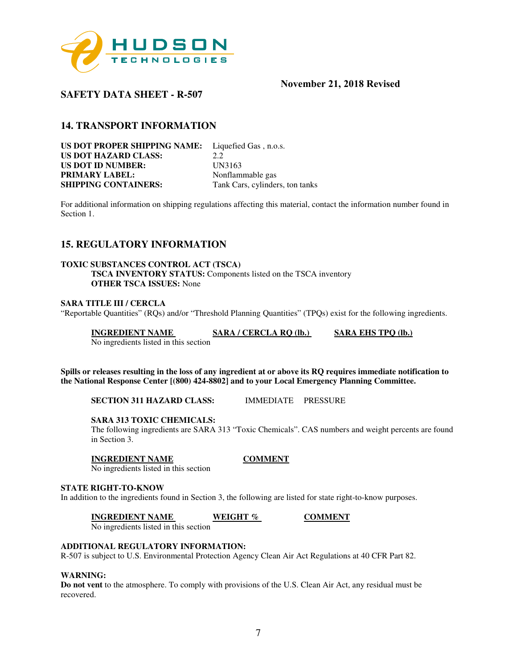

# **SAFETY DATA SHEET - R-507**

# **14. TRANSPORT INFORMATION**

**US DOT PROPER SHIPPING NAME:** Liquefied Gas , n.o.s. **US DOT HAZARD CLASS:** 2.2 **US DOT ID NUMBER:** UN3163 **PRIMARY LABEL:** Nonflammable gas **SHIPPING CONTAINERS:** Tank Cars, cylinders, ton tanks

For additional information on shipping regulations affecting this material, contact the information number found in Section 1.

# **15. REGULATORY INFORMATION**

#### **TOXIC SUBSTANCES CONTROL ACT (TSCA)**

**TSCA INVENTORY STATUS:** Components listed on the TSCA inventory **OTHER TSCA ISSUES:** None

#### **SARA TITLE III / CERCLA**

"Reportable Quantities" (RQs) and/or "Threshold Planning Quantities" (TPQs) exist for the following ingredients.

**INGREDIENT NAME SARA / CERCLA RQ (lb.) SARA EHS TPQ (lb.)** 

No ingredients listed in this section

**Spills or releases resulting in the loss of any ingredient at or above its RQ requires immediate notification to the National Response Center [(800) 424-8802] and to your Local Emergency Planning Committee.** 

**SECTION 311 HAZARD CLASS:** IMMEDIATE PRESSURE

#### **SARA 313 TOXIC CHEMICALS:**

The following ingredients are SARA 313 "Toxic Chemicals". CAS numbers and weight percents are found in Section 3.

#### **INGREDIENT NAME COMMENT**

No ingredients listed in this section

#### **STATE RIGHT-TO-KNOW**

In addition to the ingredients found in Section 3, the following are listed for state right-to-know purposes.

**INGREDIENT NAME WEIGHT % COMMENT** 

No ingredients listed in this section

### **ADDITIONAL REGULATORY INFORMATION:**

R-507 is subject to U.S. Environmental Protection Agency Clean Air Act Regulations at 40 CFR Part 82.

#### **WARNING:**

**Do not vent** to the atmosphere. To comply with provisions of the U.S. Clean Air Act, any residual must be recovered.